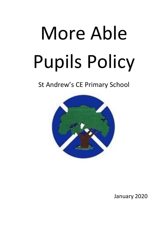# More Able Pupils Policy

# St Andrew's CE Primary School



January 2020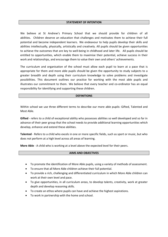### **STATEMENT OF INTENTION**

We believe at St Andrew's Primary School that we should provide for children of all abilities. Children deserve an education that challenges and motivates them to achieve their full potential and become independent learners. We endeavour to help pupils develop their skills and abilities intellectually, physically, artistically and creatively. All pupils should be given opportunities to achieve the outcomes that are key to well-being in childhood and later life. All pupils should be entitled to opportunities, which enable them to maximise their potential, achieve success in their work and relationships, and encourage them to value their own and others' achievements.

The curriculum and organisation of the school must allow each pupil to learn at a pace that is appropriate for them and more able pupils should be given the opportunity to study subjects to a greater breadth and depth using their curriculum knowledge to solve problems and investigate possibilities. This document outlines our practice for working with the most able pupils and illustrates our commitment to them. We believe that every teacher and co-ordinator has an equal responsibility for identifying and supporting these children.

### **DEFINITIONS**

Within school we use three different terms to describe our more able pupils: Gifted, Talented and Most Able.

**Gifted** - refers to a child of exceptional ability who possesses abilities so well developed and so far in advance of their peer group that the school needs to provide additional learning opportunities which develop, enhance and extend these abilities.

**Talented** - Refers to a child who excels in one or more specific fields, such as sport or music, but who does not perform at a high level across all areas of learning.

**More Able** - A child who is working at a level above the expected level for their peers.

### **AIMS AND OBJECTIVES**

- To promote the identification of More Able pupils, using a variety of methods of assessment.
- To ensure that all More Able children achieve their full potential.
- To provide a rich, challenging and differentiated curriculum in which More Able children can work at their own level and pace.
- To give opportunities, in all curriculum areas, to develop talents, creativity, work at greater depth and develop reasoning skills.
- To create an ethos where pupils can have and achieve the highest aspirations.
- To work in partnership with the home and school.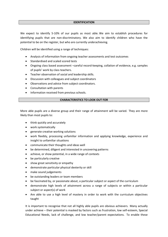### **IDENTIFICATION**

We expect to identify 5-10% of our pupils as most able. We aim to establish procedures for identifying pupils that are non-discriminatory. We also aim to identify children who have the potential to be on the register, but who are currently underachieving.

Children will be identified using a range of techniques:

- Analysis of information from ongoing teacher assessments and test outcomes
- Standardised and scaled scored tests
- Ongoing class based assessment –careful record‐keeping, collation of evidence, e.g. samples of pupils' work by class teachers.
- Teacher observation of social and leadership skills.
- Discussion with colleagues and subject coordinators
- Observations and advice from subject coordinators.
- Consultation with parents
- Information received from previous schools.

### **CHARACTERISTICS TO LOOK OUT FOR**

More able pupils are a diverse group and their range of attainment will be varied. They are more likely than most pupils to:

- think quickly and accurately
- work systematically
- generate creative working solutions
- work flexibly, processing unfamiliar information and applying knowledge, experience and insight to unfamiliar situations
- communicate their thoughts and ideas well
- be determined, diligent and interested in uncovering patterns
- achieve, or show potential, in a wide range of contexts
- be particularly creative
- show great sensitivity or empathy
- demonstrate particular physical dexterity or skill
- make sound judgements
- be outstanding leaders or team members
- be fascinated by, or passionate about, a particular subject or aspect of the curriculum
- demonstrate high levels of attainment across a range of subjects or within a particular subject or aspect(s) of work
- Are able to use a high level of mastery in order to work with the curriculum objectives taught

It is important to recognise that not all highly able pupils are obvious achievers. Many actually under achieve – their potential is masked by factors such as frustration, low self‐esteem, Special Educational Needs, lack of challenge, and low teacher/parent expectations. To enable these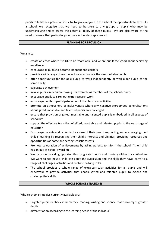pupils to fulfil their potential, it is vital to give everyone in the school the opportunity to excel. As a school, we recognise that we need to be alert to any groups of pupils who may be underachieving and to assess the potential ability of these pupils. We are also aware of the need to ensure that particular groups are not under‐represented.

## **PLANNING FOR PROVISION**

We aim to:

- create an ethos where it is OK to be 'more able' and where pupils feel good about achieving excellence
- encourage all pupils to become independent learners
- provide a wide range of resources to accommodate the needs of able pupils
- offer opportunities for the able pupils to work independently or with older pupils of the same ability
- celebrate achievement
- involve pupils in decision‐making, for example as members of the school council
- encourage pupils to carry out extra research work
- encourage pupils to participate in out of the classroom activities
- promote an atmosphere of inclusiveness where any negative stereotyped generalisations about gifted, most able and talented pupils are challenged
- ensure that provision of gifted, most able and talented pupils is embedded in all aspects of school life
- support the effective transition of gifted, most able and talented pupils to the next stage of education
- Encourage parents and carers to be aware of their role in supporting and encouraging their child's learning by recognising their child's interests and abilities, providing resources and opportunities at home and setting realistic targets.
- Promote celebration of achievements by asking parents to inform the school if their child has an out‐of‐school award etc.
- We focus on providing opportunities for greater depth and mastery within our curriculum. We want to see how a child can apply the curriculum and the skills they have learnt to a range of challenges, activities and problem solving tasks.
- The school provides a whole range of extra-curricular activities for all pupils and will endeavour to provide activities that enable gifted and talented pupils to extend and challenge their skills.

### **WHOLE SCHOOL STRATEGIES**

Whole school strategies currently available are:

- targeted pupil feedback in numeracy, reading, writing and science that encourages greater depth
- differentiation according to the learning needs of the individual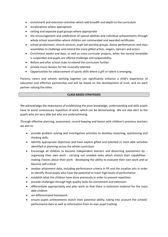- enrichment and extension activities which add breadth and depth to the curriculum
- accelerations where appropriate
- setting and separate pupil groups where appropriate
- the encouragement and celebration of special abilities and individual achievements through whole school assemblies where children are commended and awarded certificates
- school productions, church services, pupil led worship groups, dance performances and class assemblies to challenge and extend the more gifted artists, singers, dancers and actors
- Enrichment weeks and days, as well as cross-curricular projects, when the normal timetable is suspended and pupils are offered challenge and responsibility.
- Before and after school clubs to extend the curriculum further
- private music lessons for the musically talented
- Opportunities for advancement of sports skills where a gift or talent is emerging.

Parents, carers and schools working together can significantly enhance a child's experience of education and effective partnership and will be based on the development of trust, and on each partner valuing the other.

# **CLASS BASED STRATEGIES**

We acknowledge the importance of establishing the prior knowledge, understanding and skills pupils have to avoid unnecessary repetition of work, which can be demotivating. We are also alert to the pupils who are very able but who are underachieving.

Through effective planning, assessment, record‐keeping and liaison with children's previous teachers we aim to:

- provide problem solving and investigation activities to develop reasoning, questioning and thinking skills.
- Identify appropriate objectives and have explicit gifted and talented or most able activities identified in planning across the whole curriculum
- Encourage all children to become independent learners and discerning questioners by: organising their own work - carrying out unaided tasks which stretch their capabilities making choices about their work - developing the ability to evaluate their own work and so become self‐critical
- analyse attainment data, including performance criteria in PE and the creative arts in order to identify those pupils who have the potential to reach high levels of performance
- establish what the children have done previously in order to prevent repetition
- provide challenges through high‐quality tasks for enrichment and extension
- differentiate appropriately and plan work so that there is extension material for the most able children
- set differentiated homework
- ensure pupils achievements match their potential ability, taking into account the schools' performance data as well as information from its own pupil tracking